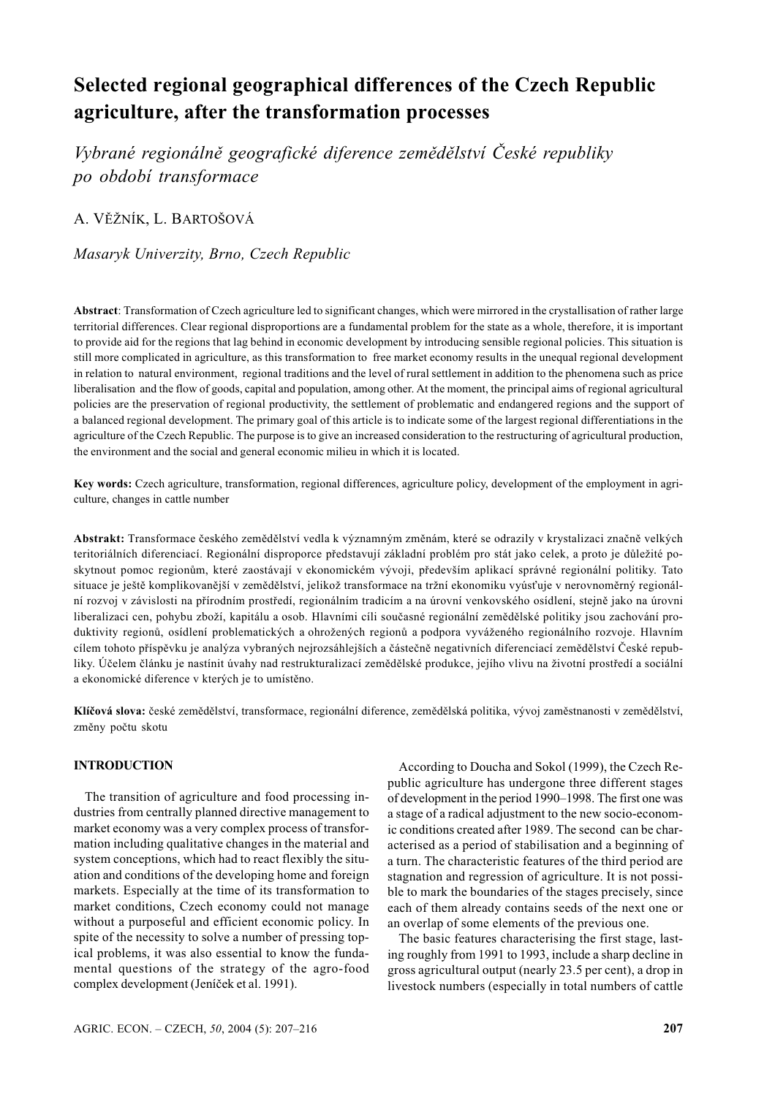# Selected regional geographical differences of the Czech Republic agriculture, after the transformation processes

Vybrané regionálně geografické diference zemědělství České republiky po období transformace

A. VĚŽNÍK, L. BARTOŠOVÁ

Masaryk Univerzity, Brno, Czech Republic

Abstract: Transformation of Czech agriculture led to significant changes, which were mirrored in the crystallisation of rather large territorial differences. Clear regional disproportions are a fundamental problem for the state as a whole, therefore, it is important to provide aid for the regions that lag behind in economic development by introducing sensible regional policies. This situation is still more complicated in agriculture, as this transformation to free market economy results in the unequal regional development in relation to natural environment, regional traditions and the level of rural settlement in addition to the phenomena such as price liberalisation and the flow of goods, capital and population, among other. At the moment, the principal aims of regional agricultural policies are the preservation of regional productivity, the settlement of problematic and endangered regions and the support of a balanced regional development. The primary goal of this article is to indicate some of the largest regional differentiations in the agriculture of the Czech Republic. The purpose is to give an increased consideration to the restructuring of agricultural production, the environment and the social and general economic milieu in which it is located.

Key words: Czech agriculture, transformation, regional differences, agriculture policy, development of the employment in agriculture, changes in cattle number

Abstrakt: Transformace českého zemědělství vedla k významným změnám, které se odrazily v krystalizaci značně velkých teritoriálních diferenciací. Regionální disproporce představují základní problém pro stát jako celek, a proto je důležité poskytnout pomoc regionům, které zaostávají v ekonomickém vývoji, především aplikací správné regionální politiky. Tato situace je ještě komplikovanější v zemědělství, jelikož transformace na tržní ekonomiku vyúsťuje v nerovnoměrný regionální rozvoj v závislosti na přírodním prostředí, regionálním tradicím a na úrovní venkovského osídlení, stejně jako na úrovni liberalizaci cen, pohybu zboží, kapitálu a osob. Hlavními cíli současné regionální zemědělské politiky jsou zachování produktivity regionů, osídlení problematických a ohrožených regionů a podpora vyváženého regionálního rozvoje. Hlavním cílem tohoto příspěvku je analýza vybraných nejrozsáhlejších a částečně negativních diferenciací zemědělství České republiky. Účelem článku je nastínit úvahy nad restrukturalizací zemědělské produkce, jejího vlivu na životní prostředí a sociální a ekonomické diference v kterých je to umístěno.

Klíčová slova: české zemědělství, transformace, regionální diference, zemědělská politika, vývoj zaměstnanosti v zemědělství, změny počtu skotu

## **INTRODUCTION**

The transition of agriculture and food processing industries from centrally planned directive management to market economy was a very complex process of transformation including qualitative changes in the material and system conceptions, which had to react flexibly the situation and conditions of the developing home and foreign markets. Especially at the time of its transformation to market conditions, Czech economy could not manage without a purposeful and efficient economic policy. In spite of the necessity to solve a number of pressing topical problems, it was also essential to know the fundamental questions of the strategy of the agro-food complex development (Jeníček et al. 1991).

According to Doucha and Sokol (1999), the Czech Republic agriculture has undergone three different stages of development in the period 1990–1998. The first one was a stage of a radical adjustment to the new socio-economic conditions created after 1989. The second can be characterised as a period of stabilisation and a beginning of a turn. The characteristic features of the third period are stagnation and regression of agriculture. It is not possible to mark the boundaries of the stages precisely, since each of them already contains seeds of the next one or an overlap of some elements of the previous one.

The basic features characterising the first stage, lasting roughly from 1991 to 1993, include a sharp decline in gross agricultural output (nearly 23.5 per cent), a drop in livestock numbers (especially in total numbers of cattle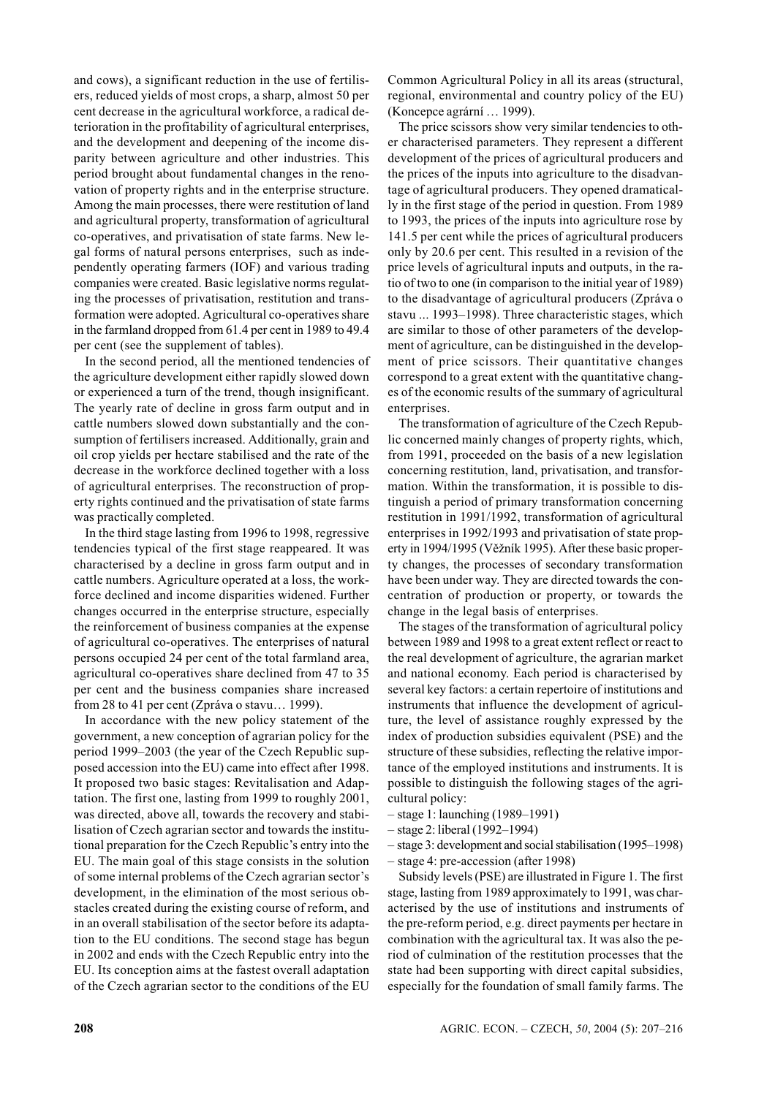and cows), a significant reduction in the use of fertilisers, reduced vields of most crops, a sharp, almost 50 per cent decrease in the agricultural workforce, a radical deterioration in the profitability of agricultural enterprises, and the development and deepening of the income disparity between agriculture and other industries. This period brought about fundamental changes in the renovation of property rights and in the enterprise structure. Among the main processes, there were restitution of land and agricultural property, transformation of agricultural co-operatives, and privatisation of state farms. New legal forms of natural persons enterprises, such as independently operating farmers (IOF) and various trading companies were created. Basic legislative norms regulating the processes of privatisation, restitution and transformation were adopted. Agricultural co-operatives share in the farmland dropped from 61.4 per cent in 1989 to 49.4 per cent (see the supplement of tables).

In the second period, all the mentioned tendencies of the agriculture development either rapidly slowed down or experienced a turn of the trend, though insignificant. The yearly rate of decline in gross farm output and in cattle numbers slowed down substantially and the consumption of fertilisers increased. Additionally, grain and oil crop yields per hectare stabilised and the rate of the decrease in the workforce declined together with a loss of agricultural enterprises. The reconstruction of property rights continued and the privatisation of state farms was practically completed.

In the third stage lasting from 1996 to 1998, regressive tendencies typical of the first stage reappeared. It was characterised by a decline in gross farm output and in cattle numbers. Agriculture operated at a loss, the workforce declined and income disparities widened. Further changes occurred in the enterprise structure, especially the reinforcement of business companies at the expense of agricultural co-operatives. The enterprises of natural persons occupied 24 per cent of the total farmland area, agricultural co-operatives share declined from 47 to 35 per cent and the business companies share increased from 28 to 41 per cent (Zpráva o stavu... 1999).

In accordance with the new policy statement of the government, a new conception of agrarian policy for the period 1999–2003 (the year of the Czech Republic supposed accession into the EU) came into effect after 1998. It proposed two basic stages: Revitalisation and Adaptation. The first one, lasting from 1999 to roughly 2001, was directed, above all, towards the recovery and stabilisation of Czech agrarian sector and towards the institutional preparation for the Czech Republic's entry into the EU. The main goal of this stage consists in the solution of some internal problems of the Czech agrarian sector's development, in the elimination of the most serious obstacles created during the existing course of reform, and in an overall stabilisation of the sector before its adaptation to the EU conditions. The second stage has begun in 2002 and ends with the Czech Republic entry into the EU. Its conception aims at the fastest overall adaptation of the Czech agrarian sector to the conditions of the EU Common Agricultural Policy in all its areas (structural, regional, environmental and country policy of the EU) (Koncepce agrární ... 1999).

The price scissors show very similar tendencies to other characterised parameters. They represent a different development of the prices of agricultural producers and the prices of the inputs into agriculture to the disadvantage of agricultural producers. They opened dramatically in the first stage of the period in question. From 1989 to 1993, the prices of the inputs into agriculture rose by 141.5 per cent while the prices of agricultural producers only by 20.6 per cent. This resulted in a revision of the price levels of agricultural inputs and outputs, in the ratio of two to one (in comparison to the initial year of 1989) to the disadvantage of agricultural producers (Zpráva o stavu ... 1993–1998). Three characteristic stages, which are similar to those of other parameters of the development of agriculture, can be distinguished in the development of price scissors. Their quantitative changes correspond to a great extent with the quantitative changes of the economic results of the summary of agricultural enterprises.

The transformation of agriculture of the Czech Republic concerned mainly changes of property rights, which, from 1991, proceeded on the basis of a new legislation concerning restitution, land, privatisation, and transformation. Within the transformation, it is possible to distinguish a period of primary transformation concerning restitution in 1991/1992, transformation of agricultural enterprises in 1992/1993 and privatisation of state property in 1994/1995 (Věžník 1995). After these basic property changes, the processes of secondary transformation have been under way. They are directed towards the concentration of production or property, or towards the change in the legal basis of enterprises.

The stages of the transformation of agricultural policy between 1989 and 1998 to a great extent reflect or react to the real development of agriculture, the agrarian market and national economy. Each period is characterised by several key factors: a certain repertoire of institutions and instruments that influence the development of agriculture, the level of assistance roughly expressed by the index of production subsidies equivalent (PSE) and the structure of these subsidies, reflecting the relative importance of the employed institutions and instruments. It is possible to distinguish the following stages of the agricultural policy:

- $-$  stage 1: launching (1989–1991)
- stage 2: liberal (1992-1994)
- stage 3: development and social stabilisation (1995–1998)
- stage 4: pre-accession (after 1998)

Subsidy levels (PSE) are illustrated in Figure 1. The first stage, lasting from 1989 approximately to 1991, was characterised by the use of institutions and instruments of the pre-reform period, e.g. direct payments per hectare in combination with the agricultural tax. It was also the period of culmination of the restitution processes that the state had been supporting with direct capital subsidies, especially for the foundation of small family farms. The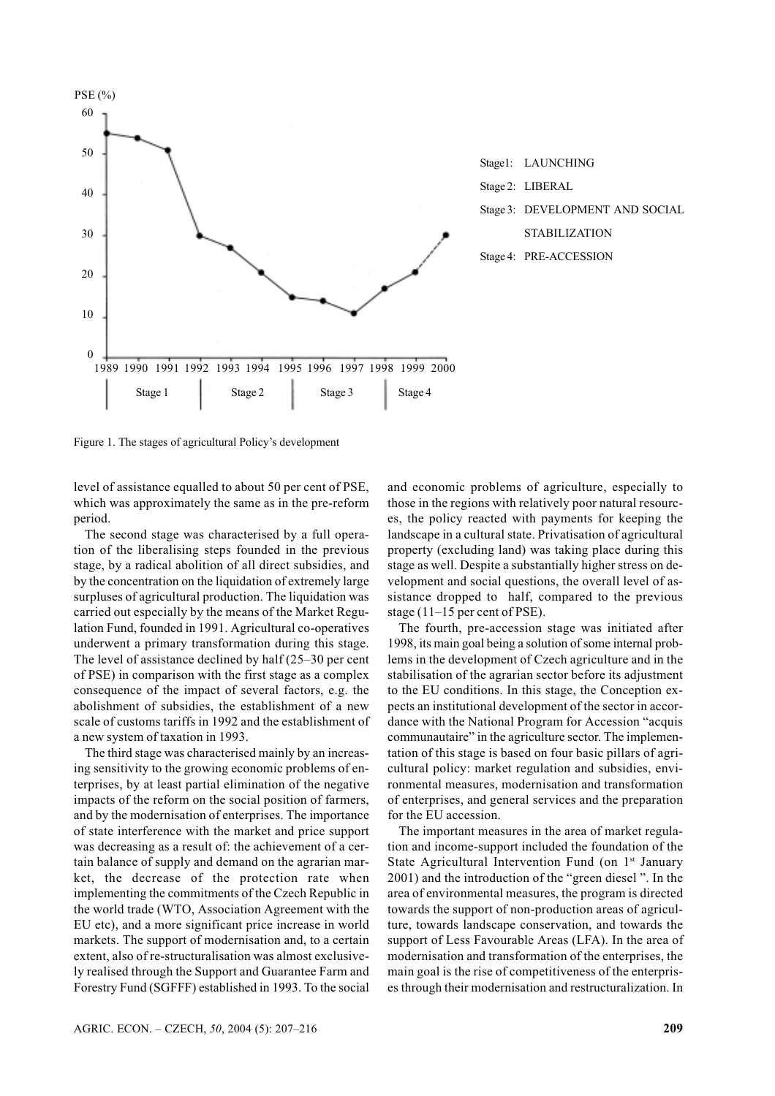

Figure 1. The stages of agricultural Policy's development

level of assistance equalled to about 50 per cent of PSE, which was approximately the same as in the pre-reform period.

The second stage was characterised by a full operation of the liberalising steps founded in the previous stage, by a radical abolition of all direct subsidies, and by the concentration on the liquidation of extremely large surpluses of agricultural production. The liquidation was carried out especially by the means of the Market Regulation Fund, founded in 1991. Agricultural co-operatives underwent a primary transformation during this stage. The level of assistance declined by half  $(25-30)$  per cent of PSE) in comparison with the first stage as a complex consequence of the impact of several factors, e.g. the abolishment of subsidies, the establishment of a new scale of customs tariffs in 1992 and the establishment of a new system of taxation in 1993.

The third stage was characterised mainly by an increasing sensitivity to the growing economic problems of enterprises, by at least partial elimination of the negative impacts of the reform on the social position of farmers, and by the modernisation of enterprises. The importance of state interference with the market and price support was decreasing as a result of: the achievement of a certain balance of supply and demand on the agrarian market, the decrease of the protection rate when implementing the commitments of the Czech Republic in the world trade (WTO, Association Agreement with the EU etc), and a more significant price increase in world markets. The support of modernisation and, to a certain extent, also of re-structuralisation was almost exclusively realised through the Support and Guarantee Farm and Forestry Fund (SGFFF) established in 1993. To the social and economic problems of agriculture, especially to those in the regions with relatively poor natural resources, the policy reacted with payments for keeping the landscape in a cultural state. Privatisation of agricultural property (excluding land) was taking place during this stage as well. Despite a substantially higher stress on development and social questions, the overall level of assistance dropped to half, compared to the previous stage  $(11-15$  per cent of PSE).

The fourth, pre-accession stage was initiated after 1998, its main goal being a solution of some internal problems in the development of Czech agriculture and in the stabilisation of the agrarian sector before its adjustment to the EU conditions. In this stage, the Conception expects an institutional development of the sector in accordance with the National Program for Accession "acquis communautaire" in the agriculture sector. The implementation of this stage is based on four basic pillars of agricultural policy: market regulation and subsidies, environmental measures, modernisation and transformation of enterprises, and general services and the preparation for the EU accession.

The important measures in the area of market regulation and income-support included the foundation of the State Agricultural Intervention Fund (on 1<sup>st</sup> January 2001) and the introduction of the "green diesel". In the area of environmental measures, the program is directed towards the support of non-production areas of agriculture, towards landscape conservation, and towards the support of Less Favourable Areas (LFA). In the area of modernisation and transformation of the enterprises, the main goal is the rise of competitiveness of the enterprises through their modernisation and restructuralization. In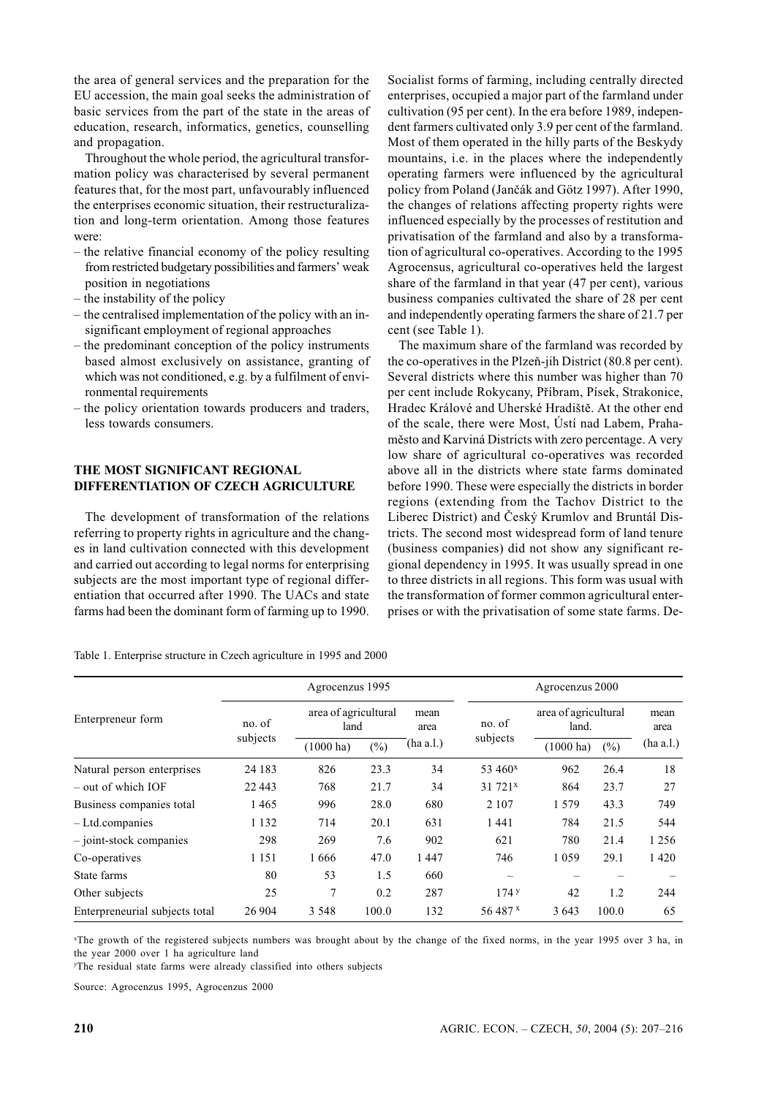the area of general services and the preparation for the EU accession, the main goal seeks the administration of basic services from the part of the state in the areas of education, research, informatics, genetics, counselling and propagation.

Throughout the whole period, the agricultural transformation policy was characterised by several permanent features that, for the most part, unfavourably influenced the enterprises economic situation, their restructuralization and long-term orientation. Among those features were:

- the relative financial economy of the policy resulting from restricted budgetary possibilities and farmers' weak position in negotiations
- the instability of the policy
- the centralised implementation of the policy with an insignificant employment of regional approaches
- the predominant conception of the policy instruments based almost exclusively on assistance, granting of which was not conditioned, e.g. by a fulfilment of environmental requirements
- the policy orientation towards producers and traders, less towards consumers.

### THE MOST SIGNIFICANT REGIONAL **DIFFERENTIATION OF CZECH AGRICULTURE**

The development of transformation of the relations referring to property rights in agriculture and the changes in land cultivation connected with this development and carried out according to legal norms for enterprising subjects are the most important type of regional differentiation that occurred after 1990. The UACs and state farms had been the dominant form of farming up to 1990.

Socialist forms of farming, including centrally directed enterprises, occupied a major part of the farmland under cultivation (95 per cent). In the era before 1989, independent farmers cultivated only 3.9 per cent of the farmland. Most of them operated in the hilly parts of the Beskydy mountains, i.e. in the places where the independently operating farmers were influenced by the agricultural policy from Poland (Jančák and Götz 1997). After 1990, the changes of relations affecting property rights were influenced especially by the processes of restitution and privatisation of the farmland and also by a transformation of agricultural co-operatives. According to the 1995 Agrocensus, agricultural co-operatives held the largest share of the farmland in that year (47 per cent), various business companies cultivated the share of 28 per cent and independently operating farmers the share of 21.7 per cent (see Table 1).

The maximum share of the farmland was recorded by the co-operatives in the Plzeň-jih District (80.8 per cent). Several districts where this number was higher than 70 per cent include Rokycany, Příbram, Písek, Strakonice, Hradec Králové and Uherské Hradiště. At the other end of the scale, there were Most, Ústí nad Labem, Prahaměsto and Karviná Districts with zero percentage. A very low share of agricultural co-operatives was recorded above all in the districts where state farms dominated before 1990. These were especially the districts in border regions (extending from the Tachov District to the Liberec District) and Český Krumlov and Bruntál Districts. The second most widespread form of land tenure (business companies) did not show any significant regional dependency in 1995. It was usually spread in one to three districts in all regions. This form was usual with the transformation of former common agricultural enterprises or with the privatisation of some state farms. De-

Table 1. Enterprise structure in Czech agriculture in 1995 and 2000

|                                | Agrocenzus 1995    |                              |        |              | Agrocenzus 2000     |                               |        |              |
|--------------------------------|--------------------|------------------------------|--------|--------------|---------------------|-------------------------------|--------|--------------|
| Enterpreneur form              | no. of<br>subjects | area of agricultural<br>land |        | mean<br>area | no. of              | area of agricultural<br>land. |        | mean<br>area |
|                                |                    | $(1000)$ ha)                 | $(\%)$ | (ha a.l.)    | subjects            | $(1000 \text{ ha})$           | $(\%)$ | (ha a.l.)    |
| Natural person enterprises     | 24 183             | 826                          | 23.3   | 34           | 53 460 <sup>x</sup> | 962                           | 26.4   | 18           |
| $-$ out of which IOF           | 22 4 43            | 768                          | 21.7   | 34           | 31721 <sup>x</sup>  | 864                           | 23.7   | 27           |
| Business companies total       | 1465               | 996                          | 28.0   | 680          | 2 1 0 7             | 1579                          | 43.3   | 749          |
| - Ltd.companies                | 1 1 3 2            | 714                          | 20.1   | 631          | 1441                | 784                           | 21.5   | 544          |
| $-$ joint-stock companies      | 298                | 269                          | 7.6    | 902          | 621                 | 780                           | 21.4   | 1 2 5 6      |
| Co-operatives                  | 1 1 5 1            | 1666                         | 47.0   | 1447         | 746                 | 1059                          | 29.1   | 1420         |
| State farms                    | 80                 | 53                           | 1.5    | 660          |                     |                               |        |              |
| Other subjects                 | 25                 | 7                            | 0.2    | 287          | 174 <sup>y</sup>    | 42                            | 1.2    | 244          |
| Enterpreneurial subjects total | 26 904             | 3 5 4 8                      | 100.0  | 132          | 56 487 <sup>x</sup> | 3 6 4 3                       | 100.0  | 65           |

xThe growth of the registered subjects numbers was brought about by the change of the fixed norms, in the year 1995 over 3 ha, in the year 2000 over 1 ha agriculture land

<sup>y</sup>The residual state farms were already classified into others subjects

Source: Agrocenzus 1995, Agrocenzus 2000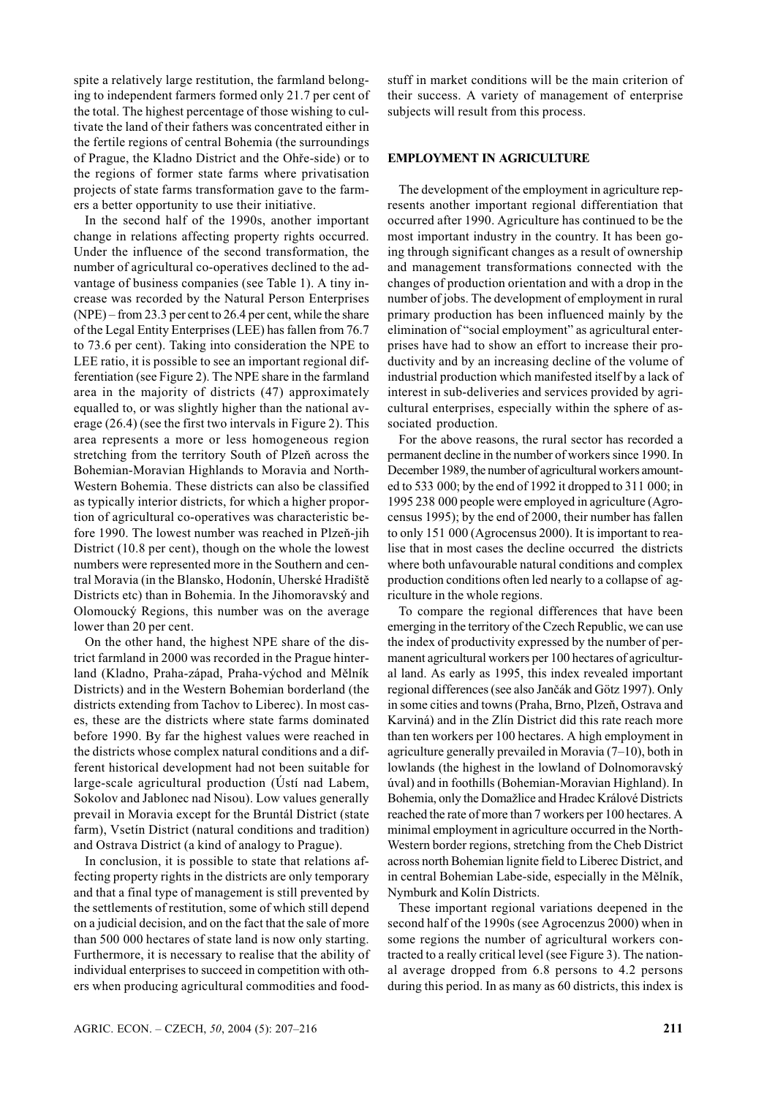spite a relatively large restitution, the farmland belonging to independent farmers formed only 21.7 per cent of the total. The highest percentage of those wishing to cultivate the land of their fathers was concentrated either in the fertile regions of central Bohemia (the surroundings of Prague, the Kladno District and the Ohře-side) or to the regions of former state farms where privatisation projects of state farms transformation gave to the farmers a better opportunity to use their initiative.

In the second half of the 1990s, another important change in relations affecting property rights occurred. Under the influence of the second transformation, the number of agricultural co-operatives declined to the advantage of business companies (see Table 1). A tiny increase was recorded by the Natural Person Enterprises  $(NPE)$  – from 23.3 per cent to 26.4 per cent, while the share of the Legal Entity Enterprises (LEE) has fallen from 76.7 to 73.6 per cent). Taking into consideration the NPE to LEE ratio, it is possible to see an important regional differentiation (see Figure 2). The NPE share in the farmland area in the majority of districts (47) approximately equalled to, or was slightly higher than the national average  $(26.4)$  (see the first two intervals in Figure 2). This area represents a more or less homogeneous region stretching from the territory South of Plzeň across the Bohemian-Moravian Highlands to Moravia and North-Western Bohemia. These districts can also be classified as typically interior districts, for which a higher proportion of agricultural co-operatives was characteristic before 1990. The lowest number was reached in Plzeň-jih District (10.8 per cent), though on the whole the lowest numbers were represented more in the Southern and central Moravia (in the Blansko, Hodonín, Uherské Hradiště Districts etc) than in Bohemia. In the Jihomoravský and Olomoucký Regions, this number was on the average lower than 20 per cent.

On the other hand, the highest NPE share of the district farmland in 2000 was recorded in the Prague hinterland (Kladno, Praha-západ, Praha-východ and Mělník Districts) and in the Western Bohemian borderland (the districts extending from Tachov to Liberec). In most cases, these are the districts where state farms dominated before 1990. By far the highest values were reached in the districts whose complex natural conditions and a different historical development had not been suitable for large-scale agricultural production (Usti nad Labem, Sokolov and Jablonec nad Nisou). Low values generally prevail in Moravia except for the Bruntál District (state farm), Vsetín District (natural conditions and tradition) and Ostrava District (a kind of analogy to Prague).

In conclusion, it is possible to state that relations affecting property rights in the districts are only temporary and that a final type of management is still prevented by the settlements of restitution, some of which still depend on a judicial decision, and on the fact that the sale of more than 500 000 hectares of state land is now only starting. Furthermore, it is necessary to realise that the ability of individual enterprises to succeed in competition with others when producing agricultural commodities and foodstuff in market conditions will be the main criterion of their success. A variety of management of enterprise subjects will result from this process.

#### **EMPLOYMENT IN AGRICULTURE**

The development of the employment in agriculture represents another important regional differentiation that occurred after 1990. Agriculture has continued to be the most important industry in the country. It has been going through significant changes as a result of ownership and management transformations connected with the changes of production orientation and with a drop in the number of jobs. The development of employment in rural primary production has been influenced mainly by the elimination of "social employment" as agricultural enterprises have had to show an effort to increase their productivity and by an increasing decline of the volume of industrial production which manifested itself by a lack of interest in sub-deliveries and services provided by agricultural enterprises, especially within the sphere of associated production.

For the above reasons, the rural sector has recorded a permanent decline in the number of workers since 1990. In December 1989, the number of agricultural workers amounted to 533 000; by the end of 1992 it dropped to 311 000; in 1995 238 000 people were employed in agriculture (Agrocensus 1995); by the end of 2000, their number has fallen to only 151 000 (Agrocensus 2000). It is important to realise that in most cases the decline occurred the districts where both unfavourable natural conditions and complex production conditions often led nearly to a collapse of agriculture in the whole regions.

To compare the regional differences that have been emerging in the territory of the Czech Republic, we can use the index of productivity expressed by the number of permanent agricultural workers per 100 hectares of agricultural land. As early as 1995, this index revealed important regional differences (see also Jančák and Götz 1997). Only in some cities and towns (Praha, Brno, Plzeň, Ostrava and Karviná) and in the Zlín District did this rate reach more than ten workers per 100 hectares. A high employment in agriculture generally prevailed in Moravia  $(7-10)$ , both in lowlands (the highest in the lowland of Dolnomoravský úval) and in foothills (Bohemian-Moravian Highland). In Bohemia, only the Domažlice and Hradec Králové Districts reached the rate of more than 7 workers per 100 hectares. A minimal employment in agriculture occurred in the North-Western border regions, stretching from the Cheb District across north Bohemian lignite field to Liberec District, and in central Bohemian Labe-side, especially in the Mělník, Nymburk and Kolín Districts.

These important regional variations deepened in the second half of the 1990s (see Agrocenzus 2000) when in some regions the number of agricultural workers contracted to a really critical level (see Figure 3). The national average dropped from 6.8 persons to 4.2 persons during this period. In as many as 60 districts, this index is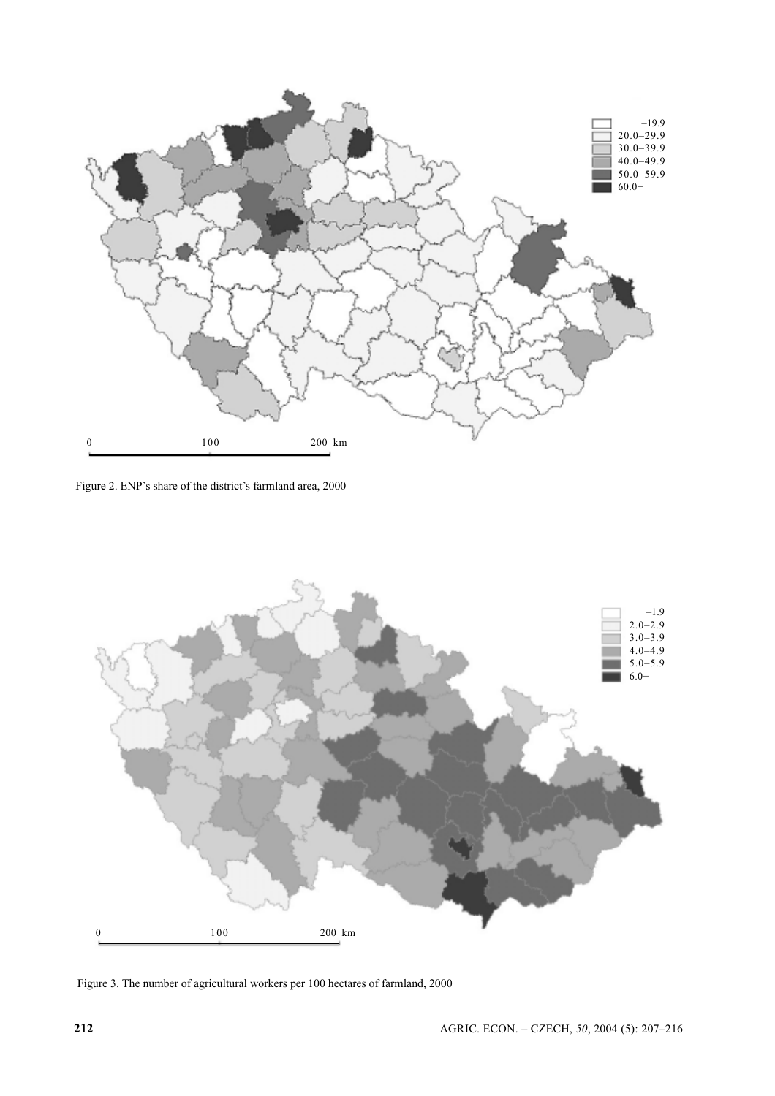

Figure 2. ENP's share of the district's farmland area, 2000



Figure 3. The number of agricultural workers per 100 hectares of farmland, 2000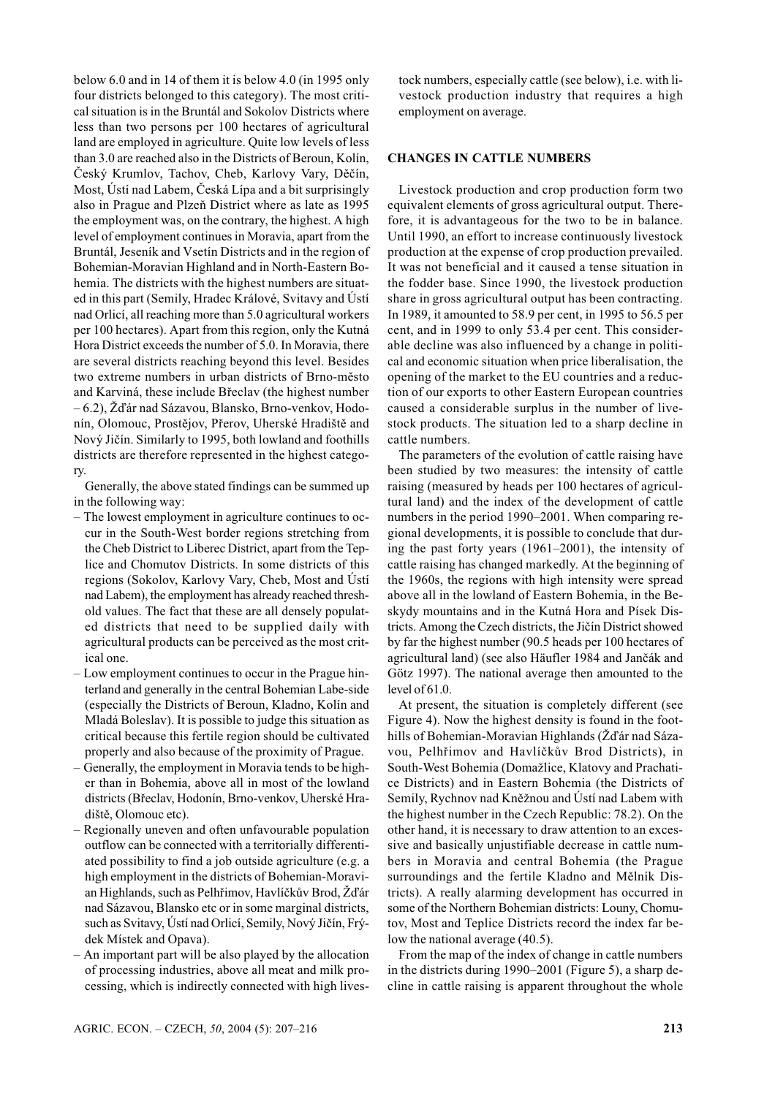below 6.0 and in 14 of them it is below 4.0 (in 1995 only four districts belonged to this category). The most critical situation is in the Bruntál and Sokolov Districts where less than two persons per 100 hectares of agricultural land are employed in agriculture. Ouite low levels of less than 3.0 are reached also in the Districts of Beroun, Kolín, Český Krumlov, Tachov, Cheb, Karlovy Vary, Děčín, Most, Ústí nad Labem, Česká Lípa and a bit surprisingly also in Prague and Plzeň District where as late as 1995 the employment was, on the contrary, the highest. A high level of employment continues in Moravia, apart from the Bruntál, Jeseník and Vsetín Districts and in the region of Bohemian-Moravian Highland and in North-Eastern Bohemia. The districts with the highest numbers are situated in this part (Semily, Hradec Králové, Svitavy and Ústí nad Orlicí, all reaching more than 5.0 agricultural workers per 100 hectares). Apart from this region, only the Kutná Hora District exceeds the number of 5.0. In Moravia, there are several districts reaching beyond this level. Besides two extreme numbers in urban districts of Brno-město and Karviná, these include Břeclav (the highest number  $-6.2$ ), Žďár nad Sázavou, Blansko, Brno-venkov, Hodonín, Olomouc, Prostějov, Přerov, Uherské Hradiště and Nový Jičín. Similarly to 1995, both lowland and foothills districts are therefore represented in the highest category.

Generally, the above stated findings can be summed up in the following way:

- The lowest employment in agriculture continues to occur in the South-West border regions stretching from the Cheb District to Liberec District, apart from the Teplice and Chomutov Districts. In some districts of this regions (Sokolov, Karlovy Vary, Cheb, Most and Ústí nad Labem), the employment has already reached threshold values. The fact that these are all densely populated districts that need to be supplied daily with agricultural products can be perceived as the most critical one.
- Low employment continues to occur in the Prague hinterland and generally in the central Bohemian Labe-side (especially the Districts of Beroun, Kladno, Kolín and Mladá Boleslav). It is possible to judge this situation as critical because this fertile region should be cultivated properly and also because of the proximity of Prague.
- Generally, the employment in Moravia tends to be higher than in Bohemia, above all in most of the lowland districts (Břeclav, Hodonín, Brno-venkov, Uherské Hradiště, Olomouc etc).
- $\overline{a}$ Regionally uneven and often unfavourable population outflow can be connected with a territorially differentiated possibility to find a job outside agriculture (e.g. a high employment in the districts of Bohemian-Moravian Highlands, such as Pelhřimov, Havlíčkův Brod, Žďár nad Sázavou, Blansko etc or in some marginal districts, such as Svitavy, Ústí nad Orlicí, Semily, Nový Jičín, Frýdek Místek and Opava).
- An important part will be also played by the allocation of processing industries, above all meat and milk processing, which is indirectly connected with high lives-

tock numbers, especially cattle (see below), i.e. with livestock production industry that requires a high employment on average.

### **CHANGES IN CATTLE NUMBERS**

Livestock production and crop production form two equivalent elements of gross agricultural output. Therefore, it is advantageous for the two to be in balance. Until 1990, an effort to increase continuously livestock production at the expense of crop production prevailed. It was not beneficial and it caused a tense situation in the fodder base. Since 1990, the livestock production share in gross agricultural output has been contracting. In 1989, it amounted to 58.9 per cent, in 1995 to 56.5 per cent, and in 1999 to only 53.4 per cent. This considerable decline was also influenced by a change in political and economic situation when price liberalisation, the opening of the market to the EU countries and a reduction of our exports to other Eastern European countries caused a considerable surplus in the number of livestock products. The situation led to a sharp decline in cattle numbers.

The parameters of the evolution of cattle raising have been studied by two measures: the intensity of cattle raising (measured by heads per 100 hectares of agricultural land) and the index of the development of cattle numbers in the period 1990–2001. When comparing regional developments, it is possible to conclude that during the past forty years (1961–2001), the intensity of cattle raising has changed markedly. At the beginning of the 1960s, the regions with high intensity were spread above all in the lowland of Eastern Bohemia, in the Beskydy mountains and in the Kutná Hora and Písek Districts. Among the Czech districts, the Jičín District showed by far the highest number (90.5 heads per 100 hectares of agricultural land) (see also Häufler 1984 and Jančák and Götz 1997). The national average then amounted to the level of 61.0.

At present, the situation is completely different (see Figure 4). Now the highest density is found in the foothills of Bohemian-Moravian Highlands (Žďár nad Sázavou, Pelhřimov and Havlíčkův Brod Districts), in South-West Bohemia (Domažlice, Klatovy and Prachatice Districts) and in Eastern Bohemia (the Districts of Semily, Rychnov nad Kněžnou and Ustí nad Labem with the highest number in the Czech Republic: 78.2). On the other hand, it is necessary to draw attention to an excessive and basically unjustifiable decrease in cattle numbers in Moravia and central Bohemia (the Prague surroundings and the fertile Kladno and Mělník Districts). A really alarming development has occurred in some of the Northern Bohemian districts: Louny, Chomutov, Most and Teplice Districts record the index far below the national average (40.5).

From the map of the index of change in cattle numbers in the districts during 1990–2001 (Figure 5), a sharp decline in cattle raising is apparent throughout the whole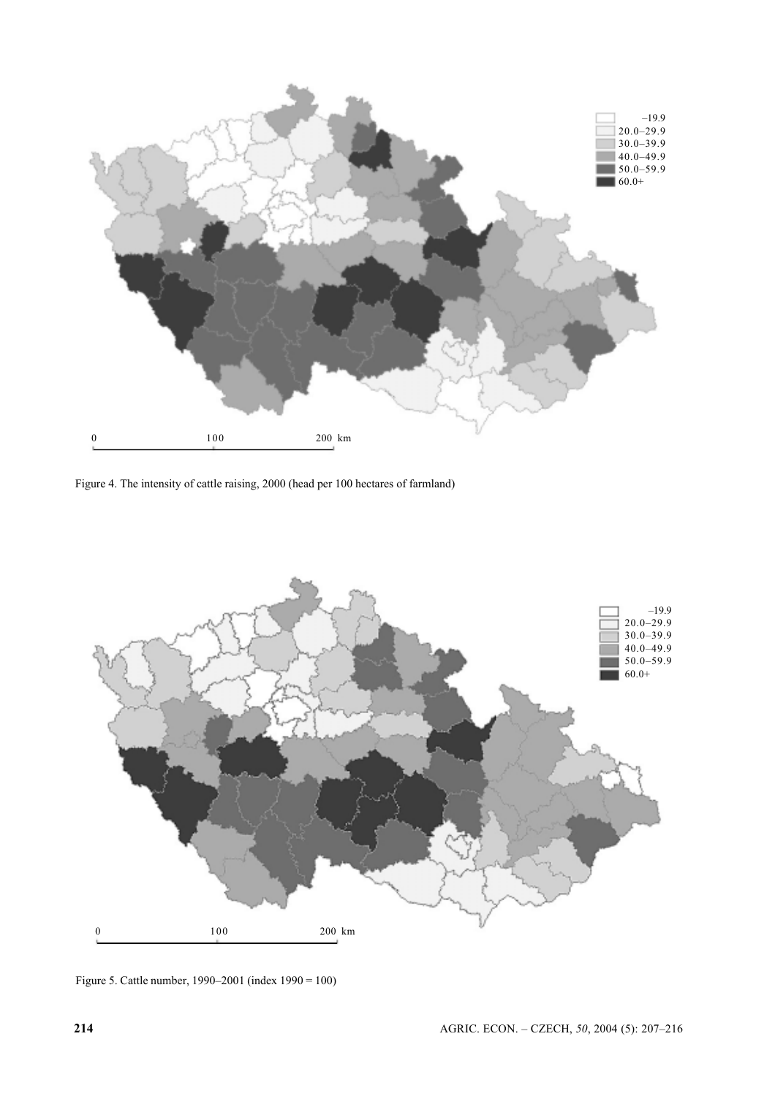

Figure 4. The intensity of cattle raising, 2000 (head per 100 hectares of farmland)



Figure 5. Cattle number, 1990–2001 (index 1990 = 100)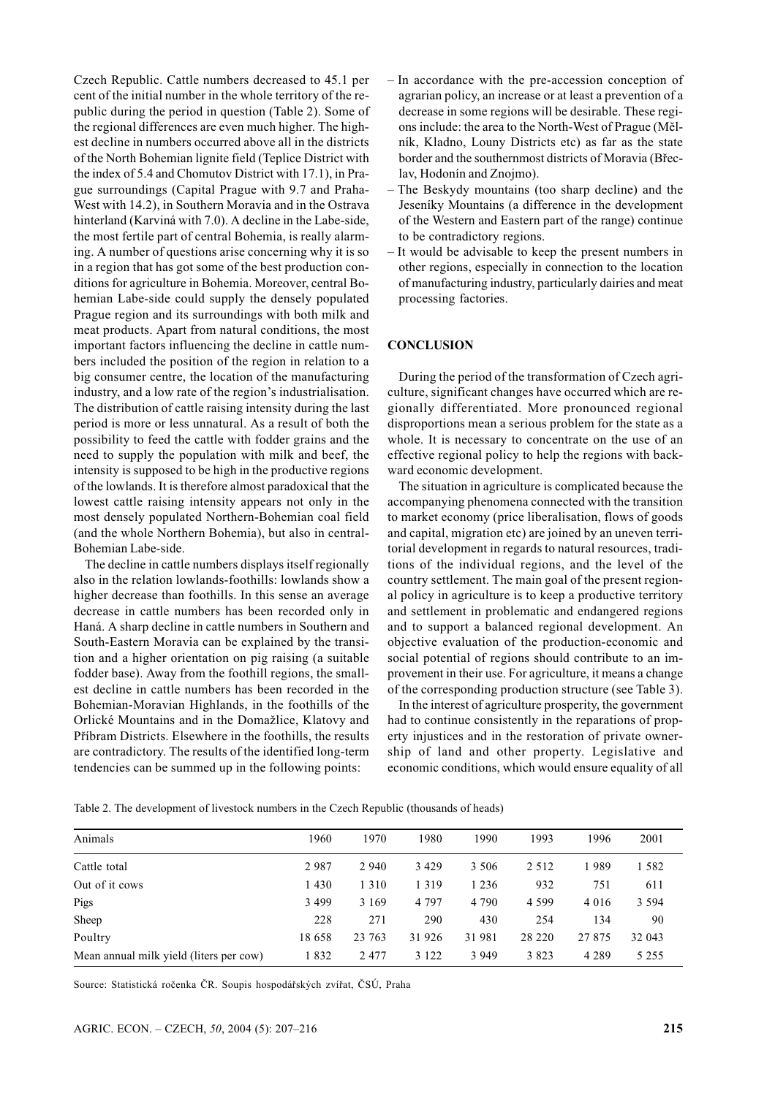Czech Republic. Cattle numbers decreased to 45.1 per cent of the initial number in the whole territory of the republic during the period in question (Table 2). Some of the regional differences are even much higher. The highest decline in numbers occurred above all in the districts of the North Bohemian lignite field (Teplice District with the index of 5.4 and Chomutov District with 17.1), in Prague surroundings (Capital Prague with 9.7 and Praha-West with 14.2), in Southern Moravia and in the Ostrava hinterland (Karviná with 7.0). A decline in the Labe-side, the most fertile part of central Bohemia, is really alarming. A number of questions arise concerning why it is so in a region that has got some of the best production conditions for agriculture in Bohemia. Moreover, central Bohemian Labe-side could supply the densely populated Prague region and its surroundings with both milk and meat products. Apart from natural conditions, the most important factors influencing the decline in cattle numbers included the position of the region in relation to a big consumer centre, the location of the manufacturing industry, and a low rate of the region's industrialisation. The distribution of cattle raising intensity during the last period is more or less unnatural. As a result of both the possibility to feed the cattle with fodder grains and the need to supply the population with milk and beef, the intensity is supposed to be high in the productive regions of the lowlands. It is therefore almost paradoxical that the lowest cattle raising intensity appears not only in the most densely populated Northern-Bohemian coal field (and the whole Northern Bohemia), but also in central-Bohemian Labe-side. The decline in cattle numbers displays itself regionally

also in the relation lowlands-foothills: lowlands show a higher decrease than foothills. In this sense an average decrease in cattle numbers has been recorded only in Haná. A sharp decline in cattle numbers in Southern and South-Eastern Moravia can be explained by the transition and a higher orientation on pig raising (a suitable fodder base). Away from the foothill regions, the smallest decline in cattle numbers has been recorded in the Bohemian-Moravian Highlands, in the foothills of the Orlické Mountains and in the Domažlice, Klatovy and Příbram Districts. Elsewhere in the foothills, the results are contradictory. The results of the identified long-term tendencies can be summed up in the following points:

- In accordance with the pre-accession conception of agrarian policy, an increase or at least a prevention of a decrease in some regions will be desirable. These regions include: the area to the North-West of Prague (Mělník, Kladno, Louny Districts etc) as far as the state border and the southernmost districts of Moravia (Břeclav, Hodonín and Znojmo).
- The Beskydy mountains (too sharp decline) and the Jeseníky Mountains (a difference in the development of the Western and Eastern part of the range) continue to be contradictory regions.
- It would be advisable to keep the present numbers in other regions, especially in connection to the location of manufacturing industry, particularly dairies and meat processing factories.

## **CONCLUSION**

During the period of the transformation of Czech agriculture, significant changes have occurred which are regionally differentiated. More pronounced regional disproportions mean a serious problem for the state as a whole. It is necessary to concentrate on the use of an effective regional policy to help the regions with backward economic development.

The situation in agriculture is complicated because the accompanying phenomena connected with the transition to market economy (price liberalisation, flows of goods and capital, migration etc) are joined by an uneven territorial development in regards to natural resources, traditions of the individual regions, and the level of the country settlement. The main goal of the present regional policy in agriculture is to keep a productive territory and settlement in problematic and endangered regions and to support a balanced regional development. An objective evaluation of the production-economic and social potential of regions should contribute to an improvement in their use. For agriculture, it means a change of the corresponding production structure (see Table 3).

In the interest of agriculture prosperity, the government had to continue consistently in the reparations of property injustices and in the restoration of private ownership of land and other property. Legislative and economic conditions, which would ensure equality of all

| Animals                                 | 1960    | 1970    | 1980    | 1990    | 1993     | 1996    | 2001    |  |
|-----------------------------------------|---------|---------|---------|---------|----------|---------|---------|--|
| Cattle total                            | 2987    | 2 9 4 0 | 3 4 2 9 | 3 5 0 6 | 2 5 1 2  | 1989    | 1582    |  |
| Out of it cows                          | 1430    | 1 3 1 0 | 1 3 1 9 | 1 2 3 6 | 932      | 751     | 611     |  |
| Pigs                                    | 3 4 9 9 | 3 1 6 9 | 4 7 9 7 | 4 7 9 0 | 4 5 9 9  | 4 0 1 6 | 3 5 9 4 |  |
| Sheep                                   | 228     | 271     | 290     | 430     | 254      | 134     | 90      |  |
| Poultry                                 | 18658   | 23 763  | 31 9 26 | 31 981  | 28 2 2 0 | 27 875  | 32 043  |  |
| Mean annual milk yield (liters per cow) | 1832    | 2477    | 3 1 2 2 | 3 9 4 9 | 3 8 2 3  | 4 2 8 9 | 5 2 5 5 |  |
|                                         |         |         |         |         |          |         |         |  |

Table 2. The development of livestock numbers in the Czech Republic (thousands of heads)

Source: Statistická ročenka ČR. Soupis hospodářských zvířat, ČSÚ, Praha